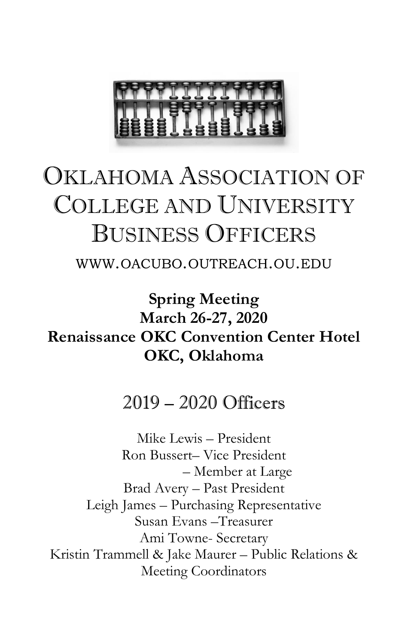

# OKLAHOMA ASSOCIATION OF COLLEGE AND UNIVERSITY BUSINESS OFFICERS

WWW.OACUBO.OUTREACH.OU.EDU

**Spring Meeting March 26-27, 2020 Renaissance OKC Convention Center Hotel OKC, Oklahoma**

## 2019 – 2020 Officers

Mike Lewis – President Ron Bussert– Vice President – Member at Large Brad Avery – Past President Leigh James – Purchasing Representative Susan Evans –Treasurer Ami Towne- Secretary Kristin Trammell & Jake Maurer – Public Relations & Meeting Coordinators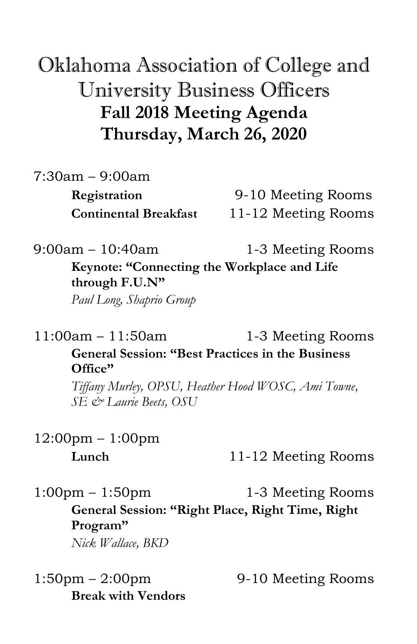# Oklahoma Association of College and University Business Officers **Fall 2018 Meeting Agenda Thursday, March 26, 2020**

7:30am – 9:00am

**Registration** 9-10 Meeting Rooms **Continental Breakfast** 11-12 Meeting Rooms

9:00am – 10:40am 1-3 Meeting Rooms

**Keynote: "Connecting the Workplace and Life through F.U.N"**

*Paul Long, Shaprio Group*

11:00am – 11:50am 1-3 Meeting Rooms

#### **General Session: "Best Practices in the Business Office"**

*Tiffany Murley, OPSU, Heather Hood WOSC, Ami Towne, SE & Laurie Beets, OSU*

12:00pm – 1:00pm

**Lunch** 11-12 Meeting Rooms

 $1:00 \text{pm} - 1:50 \text{pm}$  1-3 Meeting Rooms

# **General Session: "Right Place, Right Time, Right Program"**

*Nick Wallace, BKD*

 $1:50 \text{pm} - 2:00 \text{pm}$  9-10 Meeting Rooms **Break with Vendors**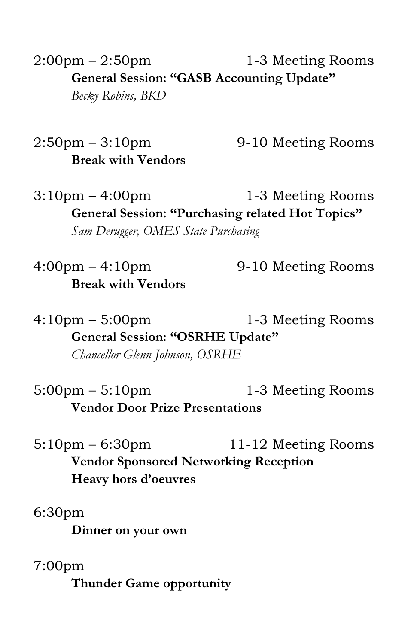$2:00 \text{pm} - 2:50 \text{pm}$  1-3 Meeting Rooms **General Session: "GASB Accounting Update"** *Becky Robins, BKD*

 $2:50 \text{pm} - 3:10 \text{pm}$  9-10 Meeting Rooms **Break with Vendors**

 $3:10 \text{pm} - 4:00 \text{pm}$  1-3 Meeting Rooms **General Session: "Purchasing related Hot Topics"** *Sam Derugger, OMES State Purchasing*

 $4:00 \text{pm} - 4:10 \text{pm}$  9-10 Meeting Rooms **Break with Vendors**

4:10pm – 5:00pm 1-3 Meeting Rooms **General Session: "OSRHE Update"** *Chancellor Glenn Johnson, OSRHE*

 $5:00 \text{pm} - 5:10 \text{pm}$  1-3 Meeting Rooms **Vendor Door Prize Presentations**

5:10pm – 6:30pm 11-12 Meeting Rooms **Vendor Sponsored Networking Reception Heavy hors d'oeuvres**

6:30pm

**Dinner on your own**

7:00pm

**Thunder Game opportunity**